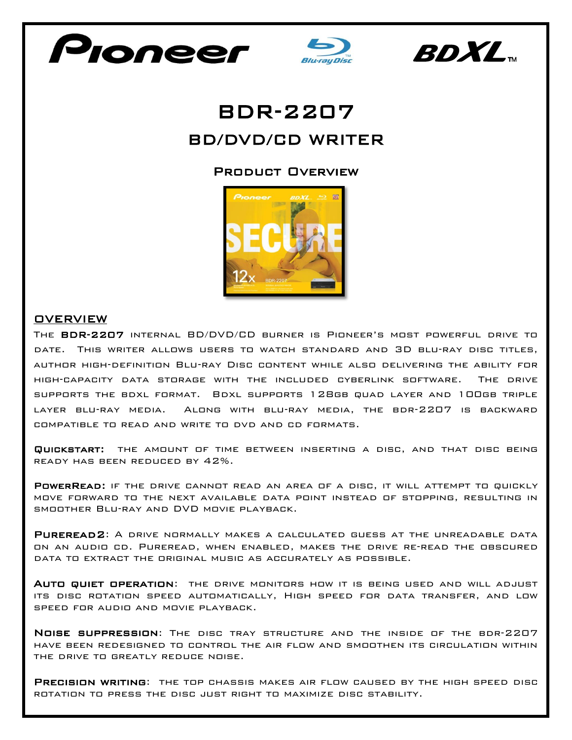





# BDR-2207 BD/DVD/CD WRITER

## Product Overview



#### **OVERVIEW**

The BDR-2207 internal BD/DVD/CD burner is Pioneer's most powerful drive to date. This writer allows users to watch standard and 3D blu-ray disc titles, author high-definition Blu-ray Disc content while also delivering the ability for high-capacity data storage with the included cyberlink software. The drive supports the bdxl format. Bdxl supports 128gb quad layer and 100gb triple layer blu-ray media. Along with blu-ray media, the bdr-2207 is backward compatible to read and write to dvd and cd formats.

Quickstart: the amount of time between inserting a disc, and that disc being ready has been reduced by 42%.

POWERREAD: IF THE DRIVE CANNOT READ AN AREA OF A DISC, IT WILL ATTEMPT TO QUICKLY move forward to the next available data point instead of stopping, resulting in smoother Blu-ray and DVD movie playback.

PUREREAD2: A DRIVE NORMALLY MAKES A CALCULATED GUESS AT THE UNREADABLE DATA on an audio cd. Pureread, when enabled, makes the drive re-read the obscured data to extract the original music as accurately as possible.

AUTO QUIET OPERATION: THE DRIVE MONITORS HOW IT IS BEING USED AND WILL ADJUST its disc rotation speed automatically, High speed for data transfer, and low speed for audio and movie playback.

Noise suppression: The disc tray structure and the inside of the bdr-2207 have been redesigned to control the air flow and smoothen its circulation within the drive to greatly reduce noise.

PRECISION WRITING: THE TOP CHASSIS MAKES AIR FLOW CAUSED BY THE HIGH SPEED DISC rotation to press the disc just right to maximize disc stability.